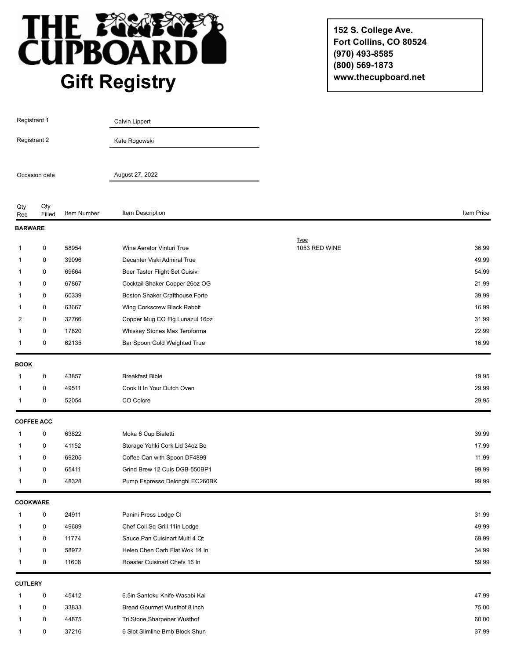

**152 S. College Ave. Fort Collins, CO 80524 (970) 493-8585 (800) 569-1873 www.thecupboard.net**

| Registrant 1<br>Registrant 2<br>Occasion date |                   |             | Calvin Lippert                        |               |            |
|-----------------------------------------------|-------------------|-------------|---------------------------------------|---------------|------------|
|                                               |                   |             | Kate Rogowski                         |               |            |
|                                               |                   |             | August 27, 2022                       |               |            |
|                                               |                   |             |                                       |               |            |
| Qty<br>Req                                    | Qty<br>Filled     | Item Number | Item Description                      |               | Item Price |
| <b>BARWARE</b>                                |                   |             |                                       |               |            |
|                                               |                   |             |                                       | <b>Type</b>   |            |
| 1                                             | 0                 | 58954       | Wine Aerator Vinturi True             | 1053 RED WINE | 36.99      |
| 1                                             | 0                 | 39096       | Decanter Viski Admiral True           |               | 49.99      |
| 1                                             | 0                 | 69664       | Beer Taster Flight Set Cuisivi        |               | 54.99      |
| 1                                             | 0                 | 67867       | Cocktail Shaker Copper 26oz OG        |               | 21.99      |
| 1                                             | 0                 | 60339       | <b>Boston Shaker Crafthouse Forte</b> |               | 39.99      |
| 1                                             | 0                 | 63667       | Wing Corkscrew Black Rabbit           |               | 16.99      |
| 2                                             | 0                 | 32766       | Copper Mug CO Flg Lunazul 16oz        |               | 31.99      |
| 1                                             | 0                 | 17820       | Whiskey Stones Max Teroforma          |               | 22.99      |
| $\mathbf{1}$                                  | 0                 | 62135       | Bar Spoon Gold Weighted True          |               | 16.99      |
| <b>BOOK</b>                                   |                   |             |                                       |               |            |
| 1                                             | $\mathbf 0$       | 43857       | <b>Breakfast Bible</b>                |               | 19.95      |
| 1                                             | 0                 | 49511       | Cook It In Your Dutch Oven            |               | 29.99      |
| 1                                             | 0                 | 52054       | CO Colore                             |               | 29.95      |
|                                               | <b>COFFEE ACC</b> |             |                                       |               |            |
| $\mathbf{1}$                                  | 0                 | 63822       | Moka 6 Cup Bialetti                   |               | 39.99      |
| 1                                             | 0                 | 41152       | Storage Yohki Cork Lid 34oz Bo        |               | 17.99      |
| 1                                             | 0                 | 69205       | Coffee Can with Spoon DF4899          |               | 11.99      |
| 1                                             | 0                 | 65411       | Grind Brew 12 Cuis DGB-550BP1         |               | 99.99      |
| $\mathbf{1}$                                  | 0                 | 48328       | Pump Espresso Delonghi EC260BK        |               | 99.99      |
|                                               |                   |             |                                       |               |            |
| <b>COOKWARE</b>                               |                   |             |                                       |               |            |
| 1                                             | $\mathbf 0$       | 24911       | Panini Press Lodge CI                 |               | 31.99      |
| 1                                             | $\mathbf 0$       | 49689       | Chef Coll Sq Grill 11in Lodge         |               | 49.99      |
| 1                                             | 0                 | 11774       | Sauce Pan Cuisinart Multi 4 Qt        |               | 69.99      |
| 1                                             | $\mathbf 0$       | 58972       | Helen Chen Carb Flat Wok 14 In        |               | 34.99      |
| 1                                             | 0                 | 11608       | Roaster Cuisinart Chefs 16 In         |               | 59.99      |
| <b>CUTLERY</b>                                |                   |             |                                       |               |            |
| $\mathbf{1}$                                  | $\mathbf 0$       | 45412       | 6.5in Santoku Knife Wasabi Kai        |               | 47.99      |
| 1                                             | 0                 | 33833       | Bread Gourmet Wusthof 8 inch          |               | 75.00      |
| 1                                             | 0                 | 44875       | Tri Stone Sharpener Wusthof           |               | 60.00      |
| 1                                             | $\mathbf 0$       | 37216       | 6 Slot Slimline Bmb Block Shun        |               | 37.99      |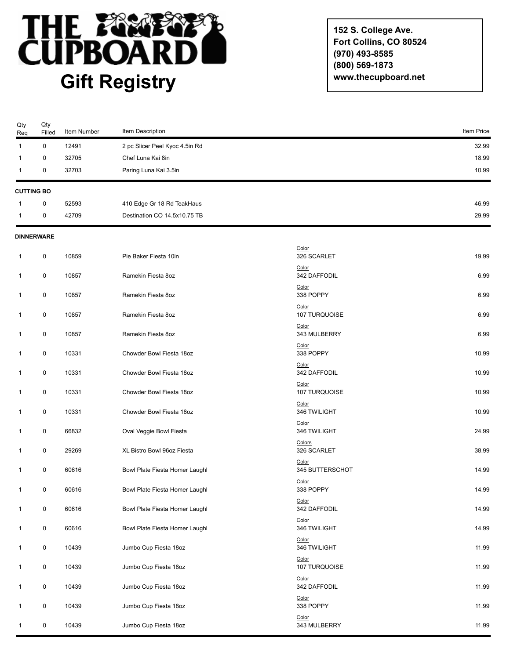

**152 S. College Ave. Fort Collins, CO 80524 (970) 493-8585 (800) 569-1873 www.thecupboard.net**

| Qty<br>Req        | Qty<br>Filled     | Item Number | Item Description               |                          | Item Price |
|-------------------|-------------------|-------------|--------------------------------|--------------------------|------------|
| $\mathbf{1}$      | $\mathbf 0$       | 12491       | 2 pc Slicer Peel Kyoc 4.5in Rd |                          | 32.99      |
| 1                 | 0                 | 32705       | Chef Luna Kai 8in              |                          | 18.99      |
| 1                 | 0                 | 32703       | Paring Luna Kai 3.5in          |                          | 10.99      |
| <b>CUTTING BO</b> |                   |             |                                |                          |            |
|                   | 0                 | 52593       | 410 Edge Gr 18 Rd TeakHaus     |                          | 46.99      |
| 1                 | 0                 | 42709       | Destination CO 14.5x10.75 TB   |                          | 29.99      |
|                   | <b>DINNERWARE</b> |             |                                |                          |            |
| 1                 | 0                 | 10859       | Pie Baker Fiesta 10in          | Color<br>326 SCARLET     | 19.99      |
| 1                 | 0                 | 10857       | Ramekin Fiesta 8oz             | Color<br>342 DAFFODIL    | 6.99       |
| 1                 | 0                 | 10857       | Ramekin Fiesta 8oz             | Color<br>338 POPPY       | 6.99       |
| 1                 | 0                 | 10857       | Ramekin Fiesta 8oz             | Color<br>107 TURQUOISE   | 6.99       |
| 1                 | 0                 | 10857       | Ramekin Fiesta 8oz             | Color<br>343 MULBERRY    | 6.99       |
| 1                 | 0                 | 10331       | Chowder Bowl Fiesta 18oz       | Color<br>338 POPPY       | 10.99      |
| 1                 | 0                 | 10331       | Chowder Bowl Fiesta 18oz       | Color<br>342 DAFFODIL    | 10.99      |
| 1                 | $\pmb{0}$         | 10331       | Chowder Bowl Fiesta 18oz       | Color<br>107 TURQUOISE   | 10.99      |
| 1                 | 0                 | 10331       | Chowder Bowl Fiesta 18oz       | Color<br>346 TWILIGHT    | 10.99      |
| 1                 | 0                 | 66832       | Oval Veggie Bowl Fiesta        | Color<br>346 TWILIGHT    | 24.99      |
| 1                 | 0                 | 29269       | XL Bistro Bowl 96oz Fiesta     | Colors<br>326 SCARLET    | 38.99      |
| 1                 | 0                 | 60616       | Bowl Plate Fiesta Homer Laughl | Color<br>345 BUTTERSCHOT | 14.99      |
| 1                 | 0                 | 60616       | Bowl Plate Fiesta Homer Laughl | Color<br>338 POPPY       | 14.99      |
| 1                 | 0                 | 60616       | Bowl Plate Fiesta Homer Laughl | Color<br>342 DAFFODIL    | 14.99      |
| 1                 | $\pmb{0}$         | 60616       | Bowl Plate Fiesta Homer Laughl | Color<br>346 TWILIGHT    | 14.99      |
| 1                 | 0                 | 10439       | Jumbo Cup Fiesta 18oz          | Color<br>346 TWILIGHT    | 11.99      |
| 1                 | 0                 | 10439       | Jumbo Cup Fiesta 18oz          | Color<br>107 TURQUOISE   | 11.99      |
| 1                 | $\pmb{0}$         | 10439       | Jumbo Cup Fiesta 18oz          | Color<br>342 DAFFODIL    | 11.99      |
| 1                 | 0                 | 10439       | Jumbo Cup Fiesta 18oz          | Color<br>338 POPPY       | 11.99      |
| 1                 | 0                 | 10439       | Jumbo Cup Fiesta 18oz          | Color<br>343 MULBERRY    | 11.99      |